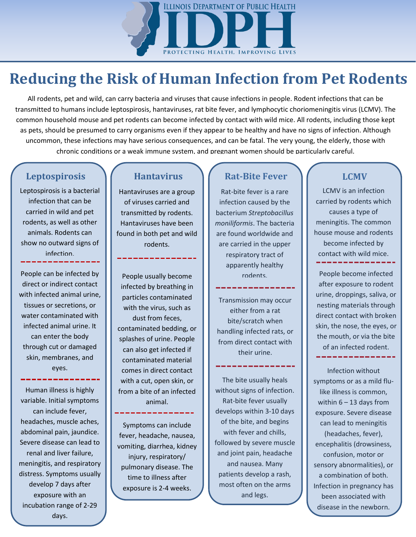

## **Reducing the Risk of Human Infection from Pet Rodents**

All rodents, pet and wild, can carry bacteria and viruses that cause infections in people. Rodent infections that can be transmitted to humans include leptospirosis, hantaviruses, rat bite fever, and lymphocytic choriomeningitis virus (LCMV). The common household mouse and pet rodents can become infected by contact with wild mice. All rodents, including those kept as pets, should be presumed to carry organisms even if they appear to be healthy and have no signs of infection. Although uncommon, these infections may have serious consequences, and can be fatal. The very young, the elderly, those with chronic conditions or a weak immune system, and pregnant women should be particularly careful.

Leptospirosis is a bacterial infection that can be carried in wild and pet rodents, as well as other animals. Rodents can show no outward signs of infection.

People can be infected by direct or indirect contact with infected animal urine, tissues or secretions, or water contaminated with infected animal urine. It can enter the body through cut or damaged skin, membranes, and eyes.

Human illness is highly variable. Initial symptoms can include fever, headaches, muscle aches, abdominal pain, jaundice. Severe disease can lead to renal and liver failure, meningitis, and respiratory distress. Symptoms usually develop 7 days after exposure with an incubation range of 2-29 days.

Hantaviruses are a group of viruses carried and transmitted by rodents. Hantaviruses have been found in both pet and wild rodents.

People usually become infected by breathing in particles contaminated with the virus, such as dust from feces, contaminated bedding, or splashes of urine. People can also get infected if contaminated material comes in direct contact with a cut, open skin, or from a bite of an infected animal.

Symptoms can include fever, headache, nausea, vomiting, diarrhea, kidney injury, respiratory/ pulmonary disease. The time to illness after exposure is 2-4 weeks.

### **Leptospirosis**  $\left\{\right.$  **Hantavirus**  $\left\{\right.$  **Rat-Bite Fever**  $\left\{\right.$  LCMV

Rat-bite fever is a rare infection caused by the bacterium *Streptobacillus moniliformis*. The bacteria are found worldwide and are carried in the upper respiratory tract of apparently healthy rodents.

Transmission may occur either from a rat bite/scratch when handling infected rats, or from direct contact with their urine.

والمتراجين والمراجين والمراجين والمراجين

The bite usually heals without signs of infection. Rat-bite fever usually develops within 3-10 days of the bite, and begins with fever and chills, followed by severe muscle and joint pain, headache and nausea. Many patients develop a rash, most often on the arms and legs.

LCMV is an infection carried by rodents which causes a type of meningitis. The common house mouse and rodents become infected by contact with wild mice.

People become infected after exposure to rodent urine, droppings, saliva, or nesting materials through direct contact with broken skin, the nose, the eyes, or the mouth, or via the bite of an infected rodent.

Infection without symptoms or as a mild flulike illness is common, within  $6 - 13$  days from exposure. Severe disease can lead to meningitis (headaches, fever), encephalitis (drowsiness, confusion, motor or sensory abnormalities), or a combination of both. Infection in pregnancy has been associated with disease in the newborn.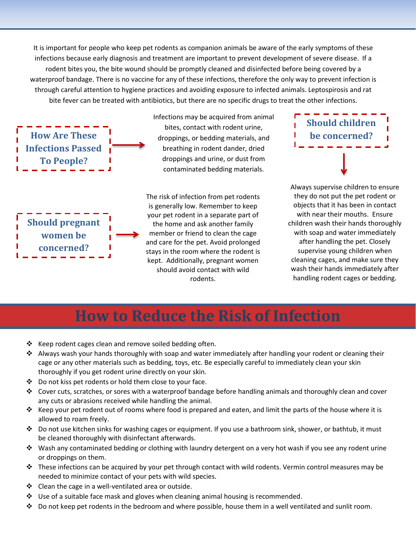It is important for people who keep pet rodents as companion animals be aware of the early symptoms of these infections because early diagnosis and treatment are important to prevent development of severe disease. If a rodent bites you, the bite wound should be promptly cleaned and disinfected before being covered by a waterproof bandage. There is no vaccine for any of these infections, therefore the only way to prevent infection is through careful attention to hygiene practices and avoiding exposure to infected animals. Leptospirosis and rat bite fever can be treated with antibiotics, but there are no specific drugs to treat the other infections.

**How Are These Infections Passed To People?**

**Should pregnant women be concerned?**

Infections may be acquired from animal bites, contact with rodent urine, droppings, or bedding materials, and breathing in rodent dander, dried droppings and urine, or dust from contaminated bedding materials.

The risk of infection from pet rodents is generally low. Remember to keep your pet rodent in a separate part of the home and ask another family member or friend to clean the cage and care for the pet. Avoid prolonged stays in the room where the rodent is kept. Additionally, pregnant women should avoid contact with wild rodents.



Always supervise children to ensure they do not put the pet rodent or objects that it has been in contact with near their mouths. Ensure children wash their hands thoroughly with soap and water immediately after handling the pet. Closely supervise young children when cleaning cages, and make sure they wash their hands immediately after handling rodent cages or bedding.

### **How to Reduce the Risk of Infection**

- $\cdot$  Keep rodent cages clean and remove soiled bedding often.
- ❖ Always wash your hands thoroughly with soap and water immediately after handling your rodent or cleaning their cage or any other materials such as bedding, toys, etc. Be especially careful to immediately clean your skin thoroughly if you get rodent urine directly on your skin.
- $\clubsuit$  Do not kiss pet rodents or hold them close to your face.
- Cover cuts, scratches, or sores with a waterproof bandage before handling animals and thoroughly clean and cover any cuts or abrasions received while handling the animal.
- Reep your pet rodent out of rooms where food is prepared and eaten, and limit the parts of the house where it is allowed to roam freely.
- Do not use kitchen sinks for washing cages or equipment. If you use a bathroom sink, shower, or bathtub, it must be cleaned thoroughly with disinfectant afterwards.
- Wash any contaminated bedding or clothing with laundry detergent on a very hot wash if you see any rodent urine or droppings on them.
- $\clubsuit$  These infections can be acquired by your pet through contact with wild rodents. Vermin control measures may be needed to minimize contact of your pets with wild species.
- $\div$  Clean the cage in a well-ventilated area or outside.
- $\div$  Use of a suitable face mask and gloves when cleaning animal housing is recommended.
- $\clubsuit$  Do not keep pet rodents in the bedroom and where possible, house them in a well ventilated and sunlit room.